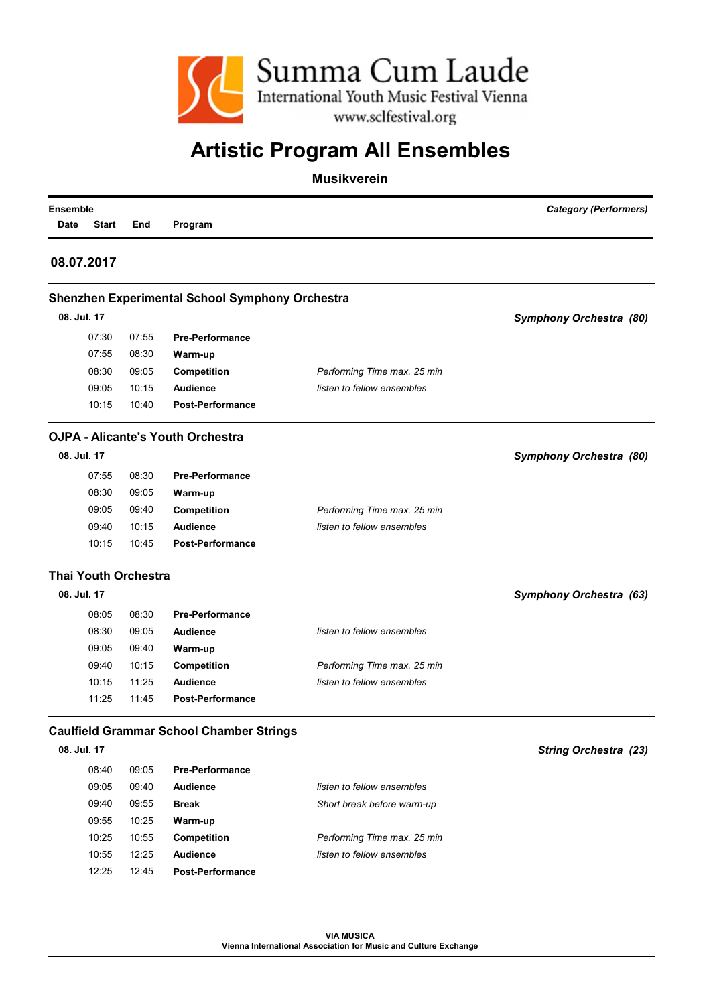

| <b>Ensemble</b><br>Date | <b>Start</b> | End                         | Program                                                |                             | <b>Category (Performers)</b>   |
|-------------------------|--------------|-----------------------------|--------------------------------------------------------|-----------------------------|--------------------------------|
|                         | 08.07.2017   |                             |                                                        |                             |                                |
|                         |              |                             | <b>Shenzhen Experimental School Symphony Orchestra</b> |                             |                                |
|                         | 08. Jul. 17  |                             |                                                        |                             | <b>Symphony Orchestra (80)</b> |
|                         | 07:30        | 07:55                       | <b>Pre-Performance</b>                                 |                             |                                |
|                         | 07:55        | 08:30                       | Warm-up                                                |                             |                                |
|                         | 08:30        | 09:05                       | <b>Competition</b>                                     | Performing Time max. 25 min |                                |
|                         | 09:05        | 10:15                       | <b>Audience</b>                                        | listen to fellow ensembles  |                                |
|                         | 10:15        | 10:40                       | <b>Post-Performance</b>                                |                             |                                |
|                         |              |                             | <b>OJPA - Alicante's Youth Orchestra</b>               |                             |                                |
|                         | 08. Jul. 17  |                             |                                                        |                             | Symphony Orchestra (80)        |
|                         | 07:55        | 08:30                       | <b>Pre-Performance</b>                                 |                             |                                |
|                         | 08:30        | 09:05                       | Warm-up                                                |                             |                                |
|                         | 09:05        | 09:40                       | <b>Competition</b>                                     | Performing Time max. 25 min |                                |
|                         | 09:40        | 10:15                       | <b>Audience</b>                                        | listen to fellow ensembles  |                                |
|                         | 10:15        | 10:45                       | <b>Post-Performance</b>                                |                             |                                |
|                         |              | <b>Thai Youth Orchestra</b> |                                                        |                             |                                |
|                         | 08. Jul. 17  |                             |                                                        |                             | Symphony Orchestra (63)        |
|                         | 08:05        | 08:30                       | <b>Pre-Performance</b>                                 |                             |                                |
|                         | 08:30        | 09:05                       | <b>Audience</b>                                        | listen to fellow ensembles  |                                |
|                         | 09:05        | 09:40                       | Warm-up                                                |                             |                                |
|                         | 09:40        | 10:15                       | <b>Competition</b>                                     | Performing Time max. 25 min |                                |
|                         | 10:15        | 11:25                       | <b>Audience</b>                                        | listen to fellow ensembles  |                                |
|                         | 11:25        | 11:45                       | <b>Post-Performance</b>                                |                             |                                |
|                         |              |                             | <b>Caulfield Grammar School Chamber Strings</b>        |                             |                                |
|                         | 08. Jul. 17  |                             |                                                        |                             | <b>String Orchestra (23)</b>   |
|                         | 08:40        | 09:05                       | <b>Pre-Performance</b>                                 |                             |                                |
|                         | 09:05        | 09:40                       | <b>Audience</b>                                        | listen to fellow ensembles  |                                |
|                         | 09:40        | 09:55                       | <b>Break</b>                                           | Short break before warm-up  |                                |
|                         | 09:55        | 10:25                       | Warm-up                                                |                             |                                |
|                         | 10:25        | 10:55                       | Competition                                            | Performing Time max. 25 min |                                |
|                         | 10:55        | 12:25                       | Audience                                               | listen to fellow ensembles  |                                |
|                         | 12:25        | 12:45                       | Post-Performance                                       |                             |                                |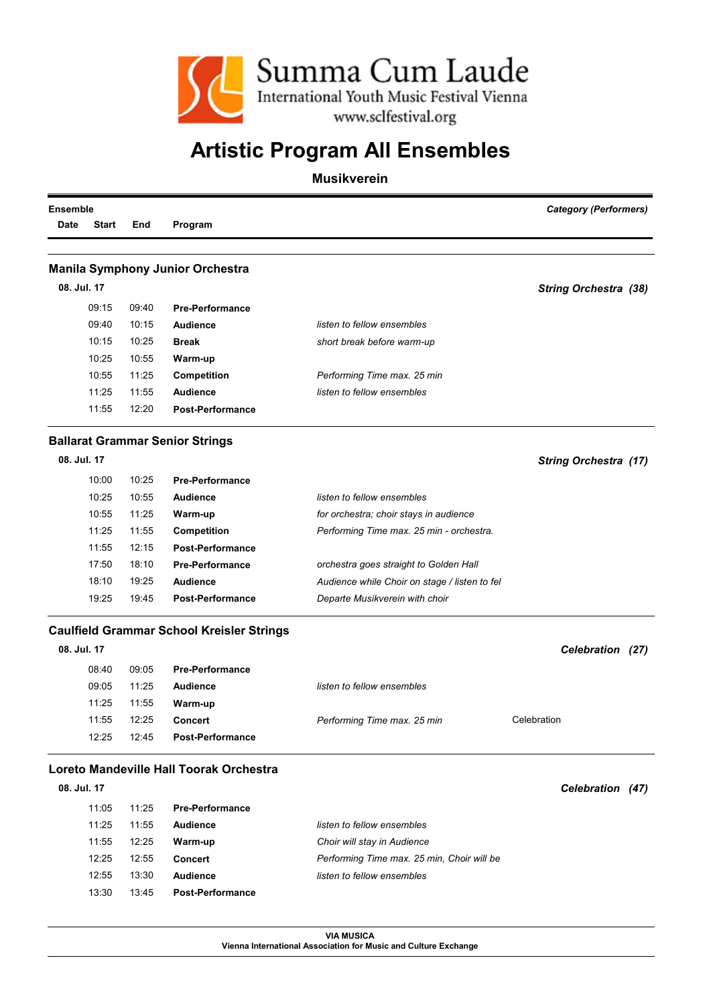

#### Musikverein

| <b>Ensemble</b> |              |       |                                                  |                                               | <b>Category (Performers)</b> |
|-----------------|--------------|-------|--------------------------------------------------|-----------------------------------------------|------------------------------|
| <b>Date</b>     | <b>Start</b> | End   | Program                                          |                                               |                              |
|                 |              |       |                                                  |                                               |                              |
|                 |              |       | <b>Manila Symphony Junior Orchestra</b>          |                                               |                              |
|                 | 08. Jul. 17  |       |                                                  |                                               | <b>String Orchestra (38)</b> |
|                 | 09:15        | 09:40 | <b>Pre-Performance</b>                           |                                               |                              |
|                 | 09:40        | 10:15 | <b>Audience</b>                                  | listen to fellow ensembles                    |                              |
|                 | 10:15        | 10:25 | <b>Break</b>                                     | short break before warm-up                    |                              |
|                 | 10:25        | 10:55 | Warm-up                                          |                                               |                              |
|                 | 10:55        | 11:25 | <b>Competition</b>                               | Performing Time max. 25 min                   |                              |
|                 | 11:25        | 11:55 | <b>Audience</b>                                  | listen to fellow ensembles                    |                              |
|                 | 11:55        | 12:20 | <b>Post-Performance</b>                          |                                               |                              |
|                 |              |       | <b>Ballarat Grammar Senior Strings</b>           |                                               |                              |
|                 | 08. Jul. 17  |       |                                                  |                                               | <b>String Orchestra (17)</b> |
|                 | 10:00        | 10:25 | <b>Pre-Performance</b>                           |                                               |                              |
|                 | 10:25        | 10:55 | <b>Audience</b>                                  | listen to fellow ensembles                    |                              |
|                 | 10:55        | 11:25 | Warm-up                                          | for orchestra; choir stays in audience        |                              |
|                 | 11:25        | 11:55 | <b>Competition</b>                               | Performing Time max. 25 min - orchestra.      |                              |
|                 | 11:55        | 12:15 | <b>Post-Performance</b>                          |                                               |                              |
|                 | 17:50        | 18:10 | <b>Pre-Performance</b>                           | orchestra goes straight to Golden Hall        |                              |
|                 | 18:10        | 19:25 | <b>Audience</b>                                  | Audience while Choir on stage / listen to fel |                              |
|                 | 19:25        | 19:45 | <b>Post-Performance</b>                          | Departe Musikverein with choir                |                              |
|                 |              |       | <b>Caulfield Grammar School Kreisler Strings</b> |                                               |                              |
| 08. Jul. 17     |              |       |                                                  |                                               | Celebration (27)             |
|                 | 08:40        | 09:05 | <b>Pre-Performance</b>                           |                                               |                              |
|                 | ng·n5        | 11.25 | <b>Audionco</b>                                  | listen to fellow ensembles                    |                              |

| 00. <del>1</del> 0 | ັບອ.ບຸ | LIG-LAININGIICA         |                             |             |
|--------------------|--------|-------------------------|-----------------------------|-------------|
| 09:05              | 11:25  | Audience                | listen to fellow ensembles  |             |
| 11:25              | 11:55  | Warm-up                 |                             |             |
| 11:55              | 12:25  | <b>Concert</b>          | Performing Time max. 25 min | Celebration |
| 12:25              | 12:45  | <b>Post-Performance</b> |                             |             |
|                    |        |                         |                             |             |

*Celebration (47)*

#### Loreto Mandeville Hall Toorak Orchestra

| 08. Jul. 17 |       |                         |                                            |
|-------------|-------|-------------------------|--------------------------------------------|
| 11.05       | 11.25 | <b>Pre-Performance</b>  |                                            |
| 11:25       | 11:55 | Audience                | listen to fellow ensembles                 |
| 11:55       | 12:25 | Warm-up                 | Choir will stay in Audience                |
| 12:25       | 12:55 | Concert                 | Performing Time max. 25 min. Choir will be |
| 12:55       | 13:30 | Audience                | listen to fellow ensembles                 |
| 13:30       | 13:45 | <b>Post-Performance</b> |                                            |

VIA MUSICA Vienna International Association for Music and Culture Exchange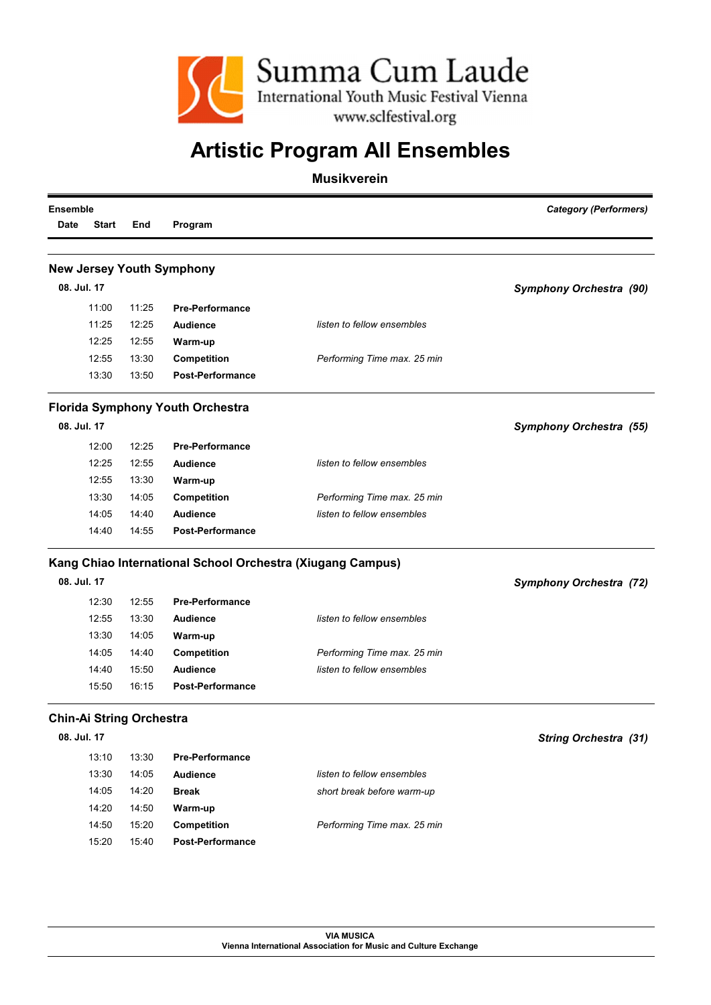

| <b>Ensemble</b> |              |                                 | <b>Category (Performers)</b>                               |                             |                                |
|-----------------|--------------|---------------------------------|------------------------------------------------------------|-----------------------------|--------------------------------|
| <b>Date</b>     | <b>Start</b> | End                             | Program                                                    |                             |                                |
|                 |              |                                 |                                                            |                             |                                |
|                 |              |                                 | <b>New Jersey Youth Symphony</b>                           |                             |                                |
|                 | 08. Jul. 17  |                                 |                                                            |                             | Symphony Orchestra (90)        |
|                 | 11:00        | 11:25                           | <b>Pre-Performance</b>                                     |                             |                                |
|                 | 11:25        | 12:25                           | <b>Audience</b>                                            | listen to fellow ensembles  |                                |
|                 | 12:25        | 12:55                           | Warm-up                                                    |                             |                                |
|                 | 12:55        | 13:30                           | Competition                                                | Performing Time max. 25 min |                                |
|                 | 13:30        | 13:50                           | <b>Post-Performance</b>                                    |                             |                                |
|                 |              |                                 | <b>Florida Symphony Youth Orchestra</b>                    |                             |                                |
|                 | 08. Jul. 17  |                                 |                                                            |                             | <b>Symphony Orchestra (55)</b> |
|                 | 12:00        | 12:25                           | <b>Pre-Performance</b>                                     |                             |                                |
|                 | 12:25        | 12:55                           | <b>Audience</b>                                            | listen to fellow ensembles  |                                |
|                 | 12:55        | 13:30                           | Warm-up                                                    |                             |                                |
|                 | 13:30        | 14:05                           | <b>Competition</b>                                         | Performing Time max. 25 min |                                |
|                 | 14:05        | 14:40                           | <b>Audience</b>                                            | listen to fellow ensembles  |                                |
|                 | 14:40        | 14:55                           | <b>Post-Performance</b>                                    |                             |                                |
|                 |              |                                 | Kang Chiao International School Orchestra (Xiugang Campus) |                             |                                |
|                 | 08. Jul. 17  |                                 |                                                            |                             | <b>Symphony Orchestra (72)</b> |
|                 | 12:30        | 12:55                           | <b>Pre-Performance</b>                                     |                             |                                |
|                 | 12:55        | 13:30                           | <b>Audience</b>                                            | listen to fellow ensembles  |                                |
|                 | 13:30        | 14:05                           | Warm-up                                                    |                             |                                |
|                 | 14:05        | 14:40                           | <b>Competition</b>                                         | Performing Time max. 25 min |                                |
|                 | 14:40        | 15:50                           | <b>Audience</b>                                            | listen to fellow ensembles  |                                |
|                 | 15:50        | 16:15                           | <b>Post-Performance</b>                                    |                             |                                |
|                 |              | <b>Chin-Ai String Orchestra</b> |                                                            |                             |                                |
|                 | 08. Jul. 17  |                                 |                                                            |                             | String Orchestra (31)          |
|                 | 13:10        | 13:30                           | <b>Pre-Performance</b>                                     |                             |                                |
|                 | 13:30        | 14:05                           | <b>Audience</b>                                            | listen to fellow ensembles  |                                |
|                 | 14:05        | 14:20                           | <b>Break</b>                                               | short break before warm-up  |                                |
|                 | 14:20        | 14:50                           | Warm-up                                                    |                             |                                |
|                 | 14:50        | 15:20                           | Competition                                                | Performing Time max. 25 min |                                |
|                 | 15:20        | 15:40                           | <b>Post-Performance</b>                                    |                             |                                |
|                 |              |                                 |                                                            |                             |                                |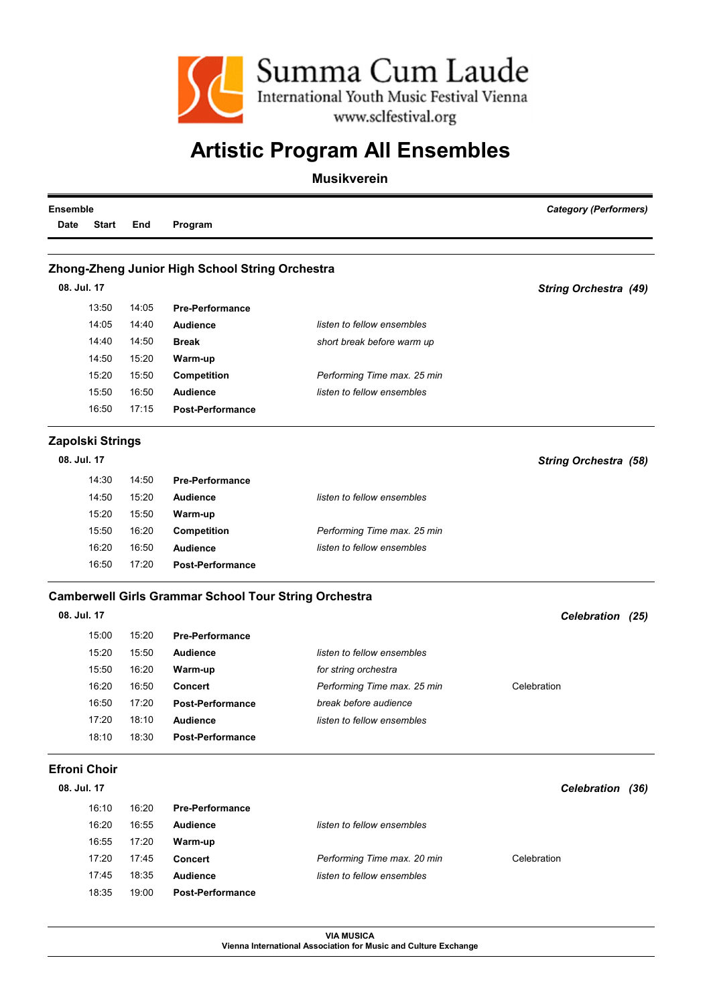

#### Musikverein

| <b>Ensemble</b> |                     |       |                                                              |                                                           | <b>Category (Performers)</b> |
|-----------------|---------------------|-------|--------------------------------------------------------------|-----------------------------------------------------------|------------------------------|
| Date            | <b>Start</b>        | End   | Program                                                      |                                                           |                              |
|                 |                     |       |                                                              |                                                           |                              |
|                 |                     |       | Zhong-Zheng Junior High School String Orchestra              |                                                           |                              |
|                 | 08. Jul. 17         |       |                                                              |                                                           | <b>String Orchestra (49)</b> |
|                 | 13:50               | 14:05 | <b>Pre-Performance</b>                                       |                                                           |                              |
|                 | 14:05               | 14:40 | <b>Audience</b>                                              | listen to fellow ensembles                                |                              |
|                 | 14:40               | 14:50 | <b>Break</b>                                                 | short break before warm up                                |                              |
|                 | 14:50               | 15:20 | Warm-up                                                      |                                                           |                              |
|                 | 15:20               | 15:50 | <b>Competition</b>                                           | Performing Time max. 25 min                               |                              |
|                 | 15:50               | 16:50 | Audience                                                     | listen to fellow ensembles                                |                              |
|                 | 16:50               | 17:15 | <b>Post-Performance</b>                                      |                                                           |                              |
|                 | Zapolski Strings    |       |                                                              |                                                           |                              |
|                 | 08. Jul. 17         |       |                                                              |                                                           | <b>String Orchestra (58)</b> |
|                 | 14:30               | 14:50 | <b>Pre-Performance</b>                                       |                                                           |                              |
|                 | 14:50               | 15:20 | Audience                                                     | listen to fellow ensembles                                |                              |
|                 | 15:20               | 15:50 | Warm-up                                                      |                                                           |                              |
|                 | 15:50               | 16:20 | Competition                                                  | Performing Time max. 25 min                               |                              |
|                 | 16:20               | 16:50 | Audience                                                     | listen to fellow ensembles                                |                              |
|                 | 16:50               | 17:20 | <b>Post-Performance</b>                                      |                                                           |                              |
|                 |                     |       | <b>Camberwell Girls Grammar School Tour String Orchestra</b> |                                                           |                              |
|                 | 08. Jul. 17         |       |                                                              |                                                           | Celebration (25)             |
|                 | 15:00               | 15:20 | <b>Pre-Performance</b>                                       |                                                           |                              |
|                 | 15:20               | 15:50 | <b>Audience</b>                                              | listen to fellow ensembles                                |                              |
|                 | 15:50               | 16:20 | Warm-up                                                      | for string orchestra                                      |                              |
|                 | 16:20               | 16:50 | <b>Concert</b>                                               | Performing Time max. 25 min                               | Celebration                  |
|                 | 16:50               | 17:20 | <b>Post-Performance</b>                                      | break before audience                                     |                              |
|                 | 17:20               | 18:10 | Audience                                                     | listen to fellow ensembles                                |                              |
|                 | 18:10               | 18:30 | <b>Post-Performance</b>                                      |                                                           |                              |
|                 | <b>Efroni Choir</b> |       |                                                              |                                                           |                              |
|                 | 08. Jul. 17         |       |                                                              |                                                           | Celebration (36)             |
|                 | 16:10               | 16:20 | <b>Pre-Performance</b>                                       |                                                           |                              |
|                 | 16:20               | 16:55 |                                                              |                                                           |                              |
|                 |                     |       | <b>Audience</b>                                              | listen to fellow ensembles                                |                              |
|                 | 16:55               | 17:20 | Warm-up                                                      |                                                           |                              |
|                 | 17:20               | 17:45 | <b>Concert</b><br><b>Audience</b>                            | Performing Time max. 20 min<br>listen to fellow ensembles | Celebration                  |
|                 | 17:45               | 18:35 |                                                              |                                                           |                              |
|                 | 18:35               | 19:00 | Post-Performance                                             |                                                           |                              |

VIA MUSICA Vienna International Association for Music and Culture Exchange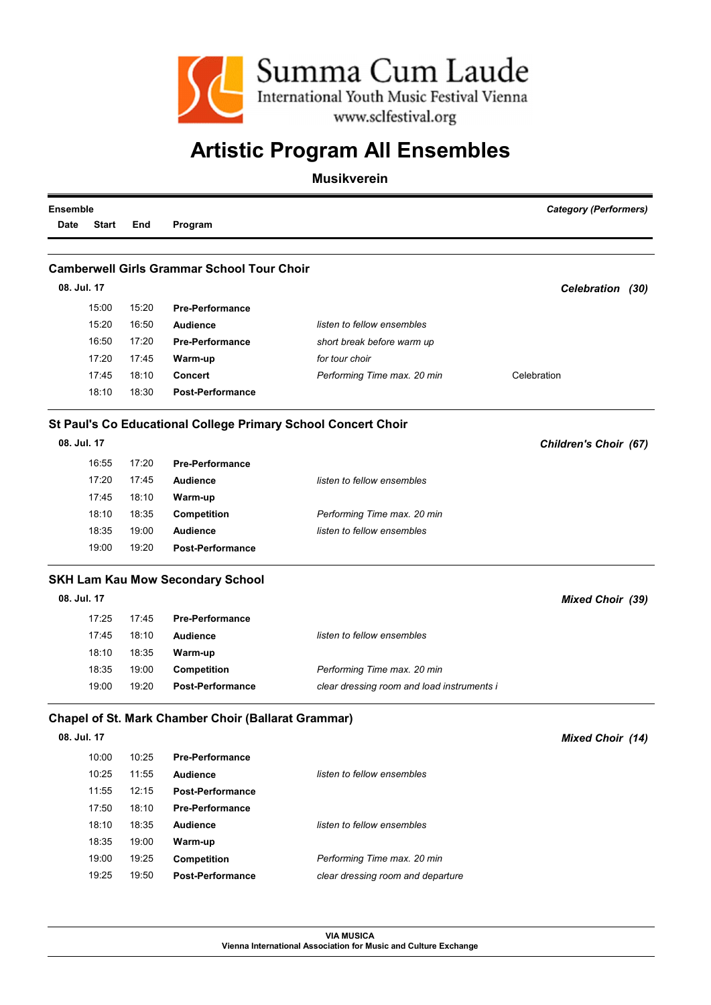

Musikverein

| <b>Ensemble</b> |              | <b>Category (Performers)</b> |                                                            |                                                               |                         |
|-----------------|--------------|------------------------------|------------------------------------------------------------|---------------------------------------------------------------|-------------------------|
| Date            | <b>Start</b> | End                          | Program                                                    |                                                               |                         |
|                 |              |                              |                                                            |                                                               |                         |
|                 |              |                              | <b>Camberwell Girls Grammar School Tour Choir</b>          |                                                               |                         |
| 08. Jul. 17     |              |                              |                                                            |                                                               | Celebration (30)        |
|                 | 15:00        | 15:20                        | <b>Pre-Performance</b>                                     |                                                               |                         |
|                 | 15:20        | 16:50                        | <b>Audience</b>                                            | listen to fellow ensembles                                    |                         |
|                 | 16:50        | 17:20                        | <b>Pre-Performance</b>                                     | short break before warm up                                    |                         |
|                 | 17:20        | 17:45                        | Warm-up                                                    | for tour choir                                                |                         |
|                 | 17:45        | 18:10                        | <b>Concert</b>                                             | Performing Time max. 20 min                                   | Celebration             |
|                 | 18:10        | 18:30                        | <b>Post-Performance</b>                                    |                                                               |                         |
|                 |              |                              |                                                            | St Paul's Co Educational College Primary School Concert Choir |                         |
| 08. Jul. 17     |              |                              |                                                            |                                                               | Children's Choir (67)   |
|                 | 16:55        | 17:20                        | <b>Pre-Performance</b>                                     |                                                               |                         |
|                 | 17:20        | 17:45                        | <b>Audience</b>                                            | listen to fellow ensembles                                    |                         |
|                 | 17:45        | 18:10                        | Warm-up                                                    |                                                               |                         |
|                 | 18:10        | 18:35                        | Competition                                                | Performing Time max. 20 min                                   |                         |
|                 | 18:35        | 19:00                        | <b>Audience</b>                                            | listen to fellow ensembles                                    |                         |
|                 | 19:00        | 19:20                        | <b>Post-Performance</b>                                    |                                                               |                         |
|                 |              |                              | <b>SKH Lam Kau Mow Secondary School</b>                    |                                                               |                         |
| 08. Jul. 17     |              |                              |                                                            |                                                               | <b>Mixed Choir (39)</b> |
|                 | 17:25        | 17:45                        | <b>Pre-Performance</b>                                     |                                                               |                         |
|                 | 17:45        | 18:10                        | <b>Audience</b>                                            | listen to fellow ensembles                                    |                         |
|                 | 18:10        | 18:35                        | Warm-up                                                    |                                                               |                         |
|                 | 18:35        | 19:00                        | Competition                                                | Performing Time max. 20 min                                   |                         |
|                 | 19:00        | 19:20                        | <b>Post-Performance</b>                                    | clear dressing room and load instruments i                    |                         |
|                 |              |                              | <b>Chapel of St. Mark Chamber Choir (Ballarat Grammar)</b> |                                                               |                         |
|                 | 08. Jul. 17  |                              |                                                            |                                                               | <b>Mixed Choir (14)</b> |
|                 | 10:00        | 10:25                        | <b>Pre-Performance</b>                                     |                                                               |                         |
|                 | 10:25        | 11:55                        | <b>Audience</b>                                            | listen to fellow ensembles                                    |                         |
|                 | 11:55        | 12:15                        | <b>Post-Performance</b>                                    |                                                               |                         |
|                 | 17:50        | 18:10                        | <b>Pre-Performance</b>                                     |                                                               |                         |
|                 | 18:10        | 18:35                        | <b>Audience</b>                                            | listen to fellow ensembles                                    |                         |
|                 | 18:35        | 19:00                        | Warm-up                                                    |                                                               |                         |
|                 | 19:00        | 19:25                        | <b>Competition</b>                                         | Performing Time max. 20 min                                   |                         |
|                 | 19:25        | 19:50                        | <b>Post-Performance</b>                                    | clear dressing room and departure                             |                         |
|                 |              |                              |                                                            |                                                               |                         |

VIA MUSICA Vienna International Association for Music and Culture Exchange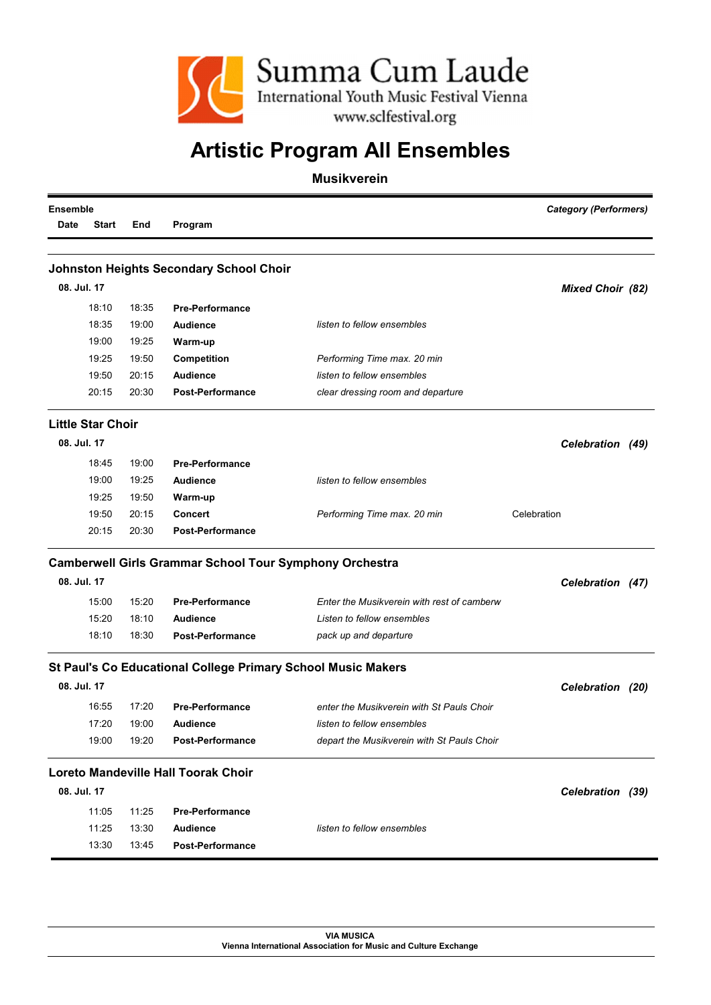

| <b>Ensemble</b> |                          |       |                                                                |                                            | <b>Category (Performers)</b> |  |  |
|-----------------|--------------------------|-------|----------------------------------------------------------------|--------------------------------------------|------------------------------|--|--|
| <b>Date</b>     | <b>Start</b>             | End   | Program                                                        |                                            |                              |  |  |
|                 |                          |       |                                                                |                                            |                              |  |  |
|                 | 08. Jul. 17              |       | <b>Johnston Heights Secondary School Choir</b>                 |                                            |                              |  |  |
|                 |                          |       |                                                                |                                            | <b>Mixed Choir (82)</b>      |  |  |
|                 | 18:10                    | 18:35 | <b>Pre-Performance</b>                                         |                                            |                              |  |  |
|                 | 18:35                    | 19:00 | <b>Audience</b>                                                | listen to fellow ensembles                 |                              |  |  |
|                 | 19:00                    | 19:25 | Warm-up                                                        |                                            |                              |  |  |
|                 | 19:25                    | 19:50 | <b>Competition</b>                                             | Performing Time max. 20 min                |                              |  |  |
|                 | 19:50                    | 20:15 | <b>Audience</b>                                                | listen to fellow ensembles                 |                              |  |  |
|                 | 20:15                    | 20:30 | <b>Post-Performance</b>                                        | clear dressing room and departure          |                              |  |  |
|                 | <b>Little Star Choir</b> |       |                                                                |                                            |                              |  |  |
|                 | 08. Jul. 17              |       |                                                                |                                            | Celebration (49)             |  |  |
|                 | 18:45                    | 19:00 | <b>Pre-Performance</b>                                         |                                            |                              |  |  |
|                 | 19:00                    | 19:25 | <b>Audience</b>                                                | listen to fellow ensembles                 |                              |  |  |
|                 | 19:25                    | 19:50 | Warm-up                                                        |                                            |                              |  |  |
|                 | 19:50                    | 20:15 | <b>Concert</b>                                                 | Performing Time max. 20 min                | Celebration                  |  |  |
|                 | 20:15                    | 20:30 | <b>Post-Performance</b>                                        |                                            |                              |  |  |
|                 |                          |       | <b>Camberwell Girls Grammar School Tour Symphony Orchestra</b> |                                            |                              |  |  |
|                 | 08. Jul. 17              |       |                                                                |                                            | Celebration (47)             |  |  |
|                 | 15:00                    | 15:20 | <b>Pre-Performance</b>                                         | Enter the Musikverein with rest of camberw |                              |  |  |
|                 | 15:20                    | 18:10 | <b>Audience</b>                                                | Listen to fellow ensembles                 |                              |  |  |
|                 | 18:10                    | 18:30 | <b>Post-Performance</b>                                        | pack up and departure                      |                              |  |  |
|                 |                          |       | St Paul's Co Educational College Primary School Music Makers   |                                            |                              |  |  |
|                 | 08. Jul. 17              |       |                                                                |                                            | Celebration (20)             |  |  |
|                 | 16:55                    | 17:20 | <b>Pre-Performance</b>                                         | enter the Musikverein with St Pauls Choir  |                              |  |  |
|                 | 17:20                    | 19:00 | <b>Audience</b>                                                | listen to fellow ensembles                 |                              |  |  |
|                 | 19:00                    | 19:20 | <b>Post-Performance</b>                                        | depart the Musikverein with St Pauls Choir |                              |  |  |
|                 |                          |       | <b>Loreto Mandeville Hall Toorak Choir</b>                     |                                            |                              |  |  |
|                 | 08. Jul. 17              |       |                                                                |                                            | Celebration (39)             |  |  |
|                 | 11:05                    | 11:25 | <b>Pre-Performance</b>                                         |                                            |                              |  |  |
|                 | 11:25                    | 13:30 | <b>Audience</b>                                                | listen to fellow ensembles                 |                              |  |  |
|                 | 13:30                    | 13:45 | <b>Post-Performance</b>                                        |                                            |                              |  |  |
|                 |                          |       |                                                                |                                            |                              |  |  |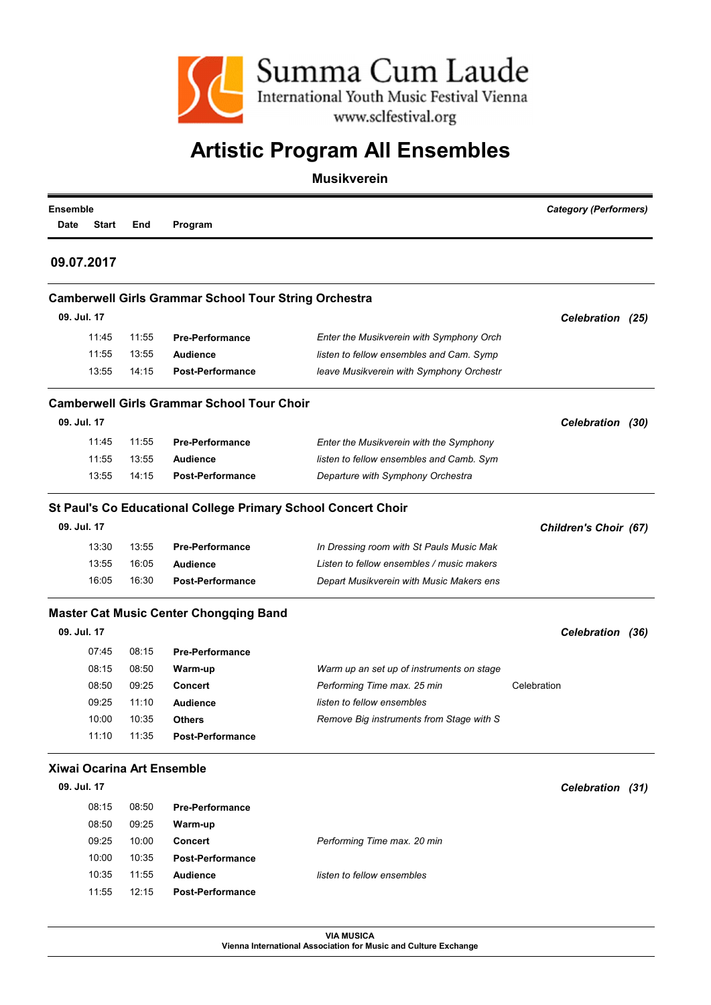

#### Musikverein

| <b>Ensemble</b><br>Date | <b>Start</b> | End   | Program                                                      |                                                               | <b>Category (Performers)</b> |
|-------------------------|--------------|-------|--------------------------------------------------------------|---------------------------------------------------------------|------------------------------|
|                         | 09.07.2017   |       |                                                              |                                                               |                              |
|                         |              |       | <b>Camberwell Girls Grammar School Tour String Orchestra</b> |                                                               |                              |
|                         | 09. Jul. 17  |       |                                                              |                                                               | Celebration (25)             |
|                         | 11:45        | 11:55 | <b>Pre-Performance</b>                                       | Enter the Musikverein with Symphony Orch                      |                              |
|                         | 11:55        | 13:55 | <b>Audience</b>                                              | listen to fellow ensembles and Cam. Symp                      |                              |
|                         | 13:55        | 14:15 | <b>Post-Performance</b>                                      | leave Musikverein with Symphony Orchestr                      |                              |
|                         |              |       | <b>Camberwell Girls Grammar School Tour Choir</b>            |                                                               |                              |
|                         | 09. Jul. 17  |       |                                                              |                                                               | Celebration (30)             |
|                         | 11:45        | 11:55 | <b>Pre-Performance</b>                                       | Enter the Musikverein with the Symphony                       |                              |
|                         | 11:55        | 13:55 | <b>Audience</b>                                              | listen to fellow ensembles and Camb. Sym                      |                              |
|                         | 13:55        | 14:15 | <b>Post-Performance</b>                                      | Departure with Symphony Orchestra                             |                              |
|                         |              |       |                                                              | St Paul's Co Educational College Primary School Concert Choir |                              |
|                         | 09. Jul. 17  |       |                                                              |                                                               | Children's Choir (67)        |
|                         | 13:30        | 13:55 | <b>Pre-Performance</b>                                       | In Dressing room with St Pauls Music Mak                      |                              |
|                         | 13:55        | 16:05 | <b>Audience</b>                                              | Listen to fellow ensembles / music makers                     |                              |
|                         | 16:05        | 16:30 | <b>Post-Performance</b>                                      | Depart Musikverein with Music Makers ens                      |                              |
|                         |              |       | <b>Master Cat Music Center Chongqing Band</b>                |                                                               |                              |
|                         | 09. Jul. 17  |       |                                                              |                                                               | Celebration (36)             |
|                         | 07:45        | 08:15 | <b>Pre-Performance</b>                                       |                                                               |                              |
|                         | 08:15        | 08:50 | Warm-up                                                      | Warm up an set up of instruments on stage                     |                              |
|                         | 08:50        | 09:25 | <b>Concert</b>                                               | Performing Time max. 25 min                                   | Celebration                  |
|                         | 09:25        | 11:10 | <b>Audience</b>                                              | listen to fellow ensembles                                    |                              |
|                         | 10:00        | 10:35 | <b>Others</b>                                                | Remove Big instruments from Stage with S                      |                              |
|                         | 11:10        | 11:35 | <b>Post-Performance</b>                                      |                                                               |                              |
|                         |              |       | Xiwai Ocarina Art Ensemble                                   |                                                               |                              |
|                         | 09. Jul. 17  |       |                                                              |                                                               | Celebration (31)             |
|                         | 08:15        | 08:50 | <b>Pre-Performance</b>                                       |                                                               |                              |
|                         | 08:50        | 09:25 | Warm-up                                                      |                                                               |                              |
|                         | 09:25        | 10:00 | Concert                                                      | Performing Time max. 20 min                                   |                              |
|                         | 10:00        | 10:35 | Post-Performance                                             |                                                               |                              |
|                         | 10:35        | 11:55 | <b>Audience</b>                                              | listen to fellow ensembles                                    |                              |

VIA MUSICA Vienna International Association for Music and Culture Exchange

11:55 12:15 Post-Performance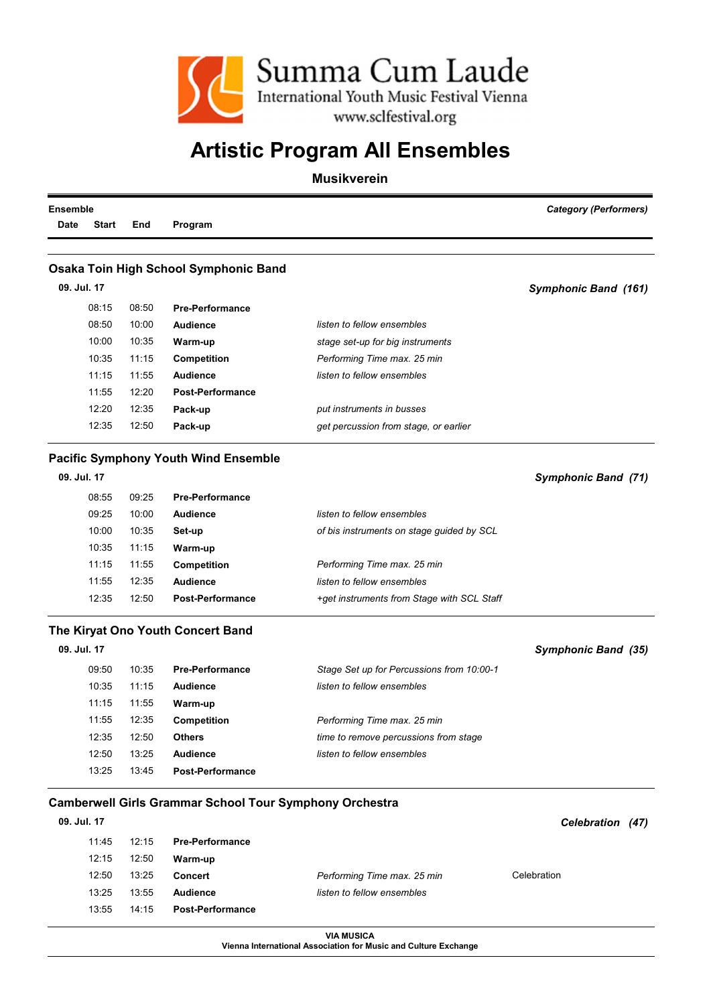

#### Musikverein

| <b>Category (Performers)</b> |                                            |                                             |       | <b>Ensemble</b>      |
|------------------------------|--------------------------------------------|---------------------------------------------|-------|----------------------|
|                              |                                            | Program                                     | End   | <b>Start</b><br>Date |
|                              |                                            |                                             |       |                      |
|                              |                                            | Osaka Toin High School Symphonic Band       |       |                      |
| Symphonic Band (161)         |                                            |                                             |       | 09. Jul. 17          |
|                              |                                            | <b>Pre-Performance</b>                      | 08:50 | 08:15                |
|                              | listen to fellow ensembles                 | <b>Audience</b>                             | 10:00 | 08:50                |
|                              | stage set-up for big instruments           | Warm-up                                     | 10:35 | 10:00                |
|                              | Performing Time max. 25 min                | <b>Competition</b>                          | 11:15 | 10:35                |
|                              | listen to fellow ensembles                 | <b>Audience</b>                             | 11:55 | 11:15                |
|                              |                                            | <b>Post-Performance</b>                     | 12:20 | 11:55                |
|                              | put instruments in busses                  | Pack-up                                     | 12:35 | 12:20                |
|                              | get percussion from stage, or earlier      | Pack-up                                     | 12:50 | 12:35                |
|                              |                                            | <b>Pacific Symphony Youth Wind Ensemble</b> |       |                      |
| Symphonic Band (71)          |                                            |                                             |       | 09. Jul. 17          |
|                              |                                            | <b>Pre-Performance</b>                      | 09:25 | 08:55                |
|                              | listen to fellow ensembles                 | <b>Audience</b>                             | 10:00 | 09:25                |
|                              |                                            |                                             |       |                      |
|                              | of bis instruments on stage guided by SCL  | Set-up                                      | 10:35 | 10:00                |
|                              |                                            | Warm-up                                     | 11:15 | 10:35                |
|                              | Performing Time max. 25 min                | Competition                                 | 11:55 | 11:15                |
|                              | listen to fellow ensembles                 | <b>Audience</b>                             | 12:35 | 11:55                |
|                              | +get instruments from Stage with SCL Staff | <b>Post-Performance</b>                     | 12:50 | 12:35                |
|                              |                                            |                                             |       |                      |
| Symphonic Band (35)          |                                            | The Kiryat Ono Youth Concert Band           |       | 09. Jul. 17          |
|                              | Stage Set up for Percussions from 10:00-1  | <b>Pre-Performance</b>                      | 10:35 | 09:50                |
|                              | listen to fellow ensembles                 | <b>Audience</b>                             | 11:15 | 10:35                |
|                              |                                            | Warm-up                                     | 11:55 | 11:15                |
|                              | Performing Time max. 25 min                | Competition                                 | 12:35 | 11:55                |
|                              | time to remove percussions from stage      | <b>Others</b>                               | 12:50 | 12:35                |
|                              | listen to fellow ensembles                 | <b>Audience</b>                             | 13:25 | 12:50                |

#### Camberwell Girls Grammar School Tour Symphony Orchestra

| 09. Jul. 17 |       |                         |                             | <b>Celebration</b><br>(47) |
|-------------|-------|-------------------------|-----------------------------|----------------------------|
| 11:45       | 12:15 | <b>Pre-Performance</b>  |                             |                            |
| 12:15       | 12:50 | Warm-up                 |                             |                            |
| 12:50       | 13:25 | <b>Concert</b>          | Performing Time max. 25 min | Celebration                |
| 13:25       | 13:55 | <b>Audience</b>         | listen to fellow ensembles  |                            |
| 13:55       | 14:15 | <b>Post-Performance</b> |                             |                            |

VIA MUSICA

Vienna International Association for Music and Culture Exchange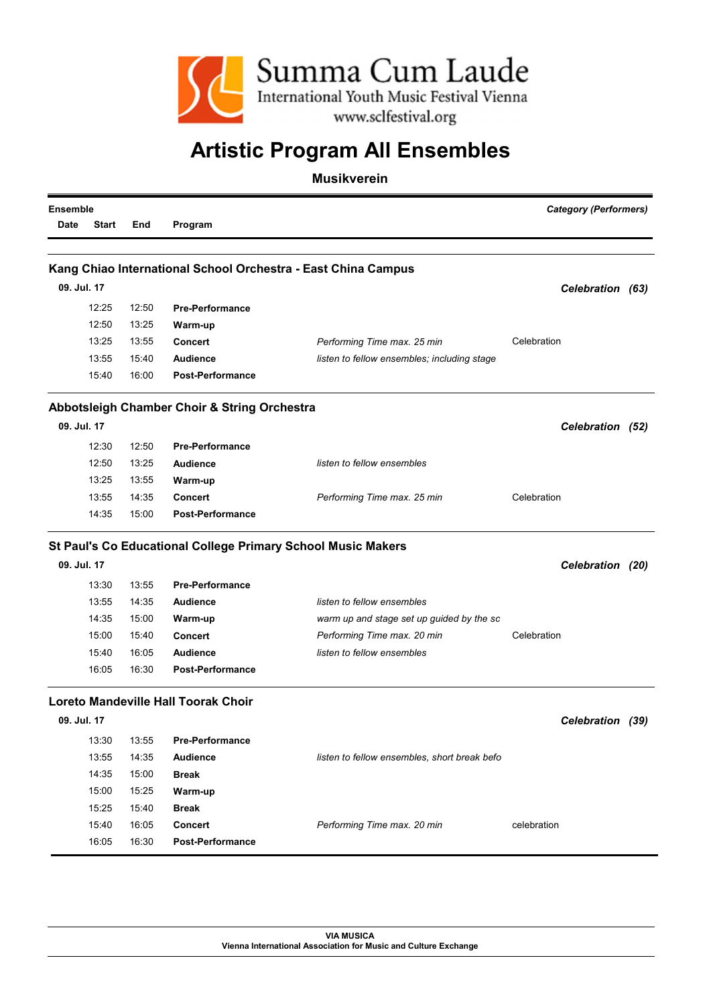

| <b>Ensemble</b> |              |       |                                              |                                                               | <b>Category (Performers)</b> |  |  |
|-----------------|--------------|-------|----------------------------------------------|---------------------------------------------------------------|------------------------------|--|--|
| <b>Date</b>     | <b>Start</b> | End   | Program                                      |                                                               |                              |  |  |
|                 |              |       |                                              |                                                               |                              |  |  |
|                 |              |       |                                              | Kang Chiao International School Orchestra - East China Campus |                              |  |  |
| 09. Jul. 17     |              |       |                                              |                                                               | Celebration (63)             |  |  |
|                 | 12:25        | 12:50 | <b>Pre-Performance</b>                       |                                                               |                              |  |  |
|                 | 12:50        | 13:25 | Warm-up                                      |                                                               |                              |  |  |
|                 | 13:25        | 13:55 | <b>Concert</b>                               | Performing Time max. 25 min                                   | Celebration                  |  |  |
|                 | 13:55        | 15:40 | <b>Audience</b>                              | listen to fellow ensembles; including stage                   |                              |  |  |
|                 | 15:40        | 16:00 | <b>Post-Performance</b>                      |                                                               |                              |  |  |
|                 |              |       | Abbotsleigh Chamber Choir & String Orchestra |                                                               |                              |  |  |
| 09. Jul. 17     |              |       |                                              |                                                               | Celebration (52)             |  |  |
|                 | 12:30        | 12:50 | <b>Pre-Performance</b>                       |                                                               |                              |  |  |
|                 | 12:50        | 13:25 | <b>Audience</b>                              | listen to fellow ensembles                                    |                              |  |  |
|                 | 13:25        | 13:55 | Warm-up                                      |                                                               |                              |  |  |
|                 | 13:55        | 14:35 | <b>Concert</b>                               | Performing Time max. 25 min                                   | Celebration                  |  |  |
|                 | 14:35        | 15:00 | <b>Post-Performance</b>                      |                                                               |                              |  |  |
|                 |              |       |                                              | St Paul's Co Educational College Primary School Music Makers  |                              |  |  |
| 09. Jul. 17     |              |       |                                              |                                                               | Celebration (20)             |  |  |
|                 | 13:30        | 13:55 | <b>Pre-Performance</b>                       |                                                               |                              |  |  |
|                 | 13:55        | 14:35 | <b>Audience</b>                              | listen to fellow ensembles                                    |                              |  |  |
|                 | 14:35        | 15:00 | Warm-up                                      | warm up and stage set up guided by the sc                     |                              |  |  |
|                 | 15:00        | 15:40 | <b>Concert</b>                               | Performing Time max. 20 min                                   | Celebration                  |  |  |
|                 | 15:40        | 16:05 | <b>Audience</b>                              | listen to fellow ensembles                                    |                              |  |  |
|                 | 16:05        | 16:30 | <b>Post-Performance</b>                      |                                                               |                              |  |  |
|                 |              |       | <b>Loreto Mandeville Hall Toorak Choir</b>   |                                                               |                              |  |  |
| 09. Jul. 17     |              |       |                                              |                                                               | Celebration (39)             |  |  |
|                 | 13:30        | 13:55 | <b>Pre-Performance</b>                       |                                                               |                              |  |  |
|                 | 13:55        | 14:35 | Audience                                     | listen to fellow ensembles, short break befo                  |                              |  |  |
|                 | 14:35        | 15:00 | <b>Break</b>                                 |                                                               |                              |  |  |
|                 | 15:00        | 15:25 | Warm-up                                      |                                                               |                              |  |  |
|                 | 15:25        | 15:40 | <b>Break</b>                                 |                                                               |                              |  |  |
|                 | 15:40        | 16:05 | <b>Concert</b>                               | Performing Time max. 20 min                                   | celebration                  |  |  |
|                 | 16:05        | 16:30 | <b>Post-Performance</b>                      |                                                               |                              |  |  |
|                 |              |       |                                              |                                                               |                              |  |  |